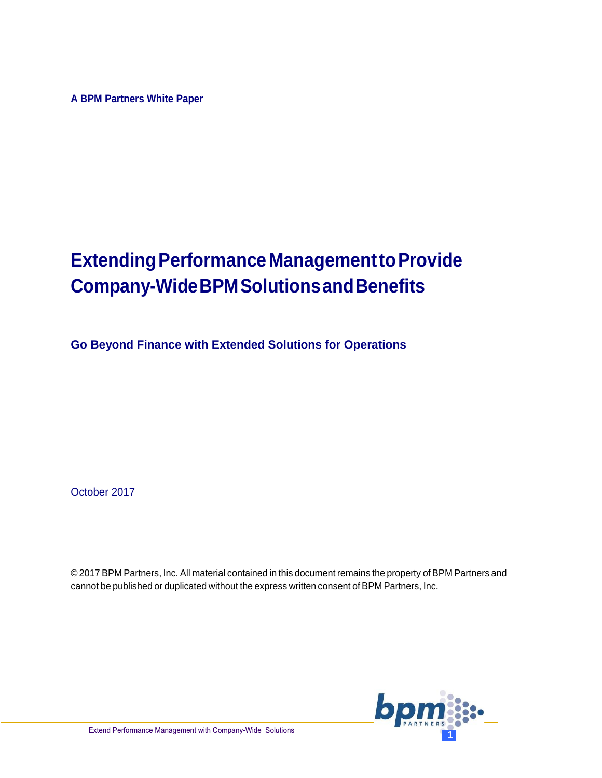**A BPM Partners White Paper**

# **Extending Performance Management to Provide Company-WideBPMSolutionsandBenefits**

**Go Beyond Finance with Extended Solutions for Operations**

October 2017

© 2017 BPM Partners, Inc. All material contained in this document remains the property of BPM Partners and cannot be published or duplicated without the express written consent of BPM Partners, Inc.

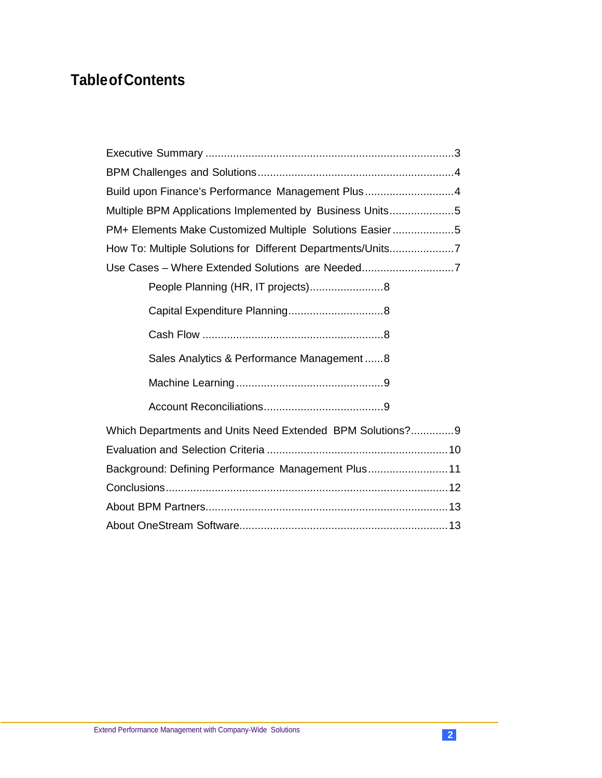## **TableofContents**

| Build upon Finance's Performance Management Plus4           |  |  |  |
|-------------------------------------------------------------|--|--|--|
| Multiple BPM Applications Implemented by Business Units5    |  |  |  |
| PM+ Elements Make Customized Multiple Solutions Easier5     |  |  |  |
| How To: Multiple Solutions for Different Departments/Units7 |  |  |  |
|                                                             |  |  |  |
|                                                             |  |  |  |
|                                                             |  |  |  |
|                                                             |  |  |  |
| Sales Analytics & Performance Management8                   |  |  |  |
|                                                             |  |  |  |
|                                                             |  |  |  |
| Which Departments and Units Need Extended BPM Solutions?9   |  |  |  |
|                                                             |  |  |  |
| Background: Defining Performance Management Plus 11         |  |  |  |
|                                                             |  |  |  |
|                                                             |  |  |  |
|                                                             |  |  |  |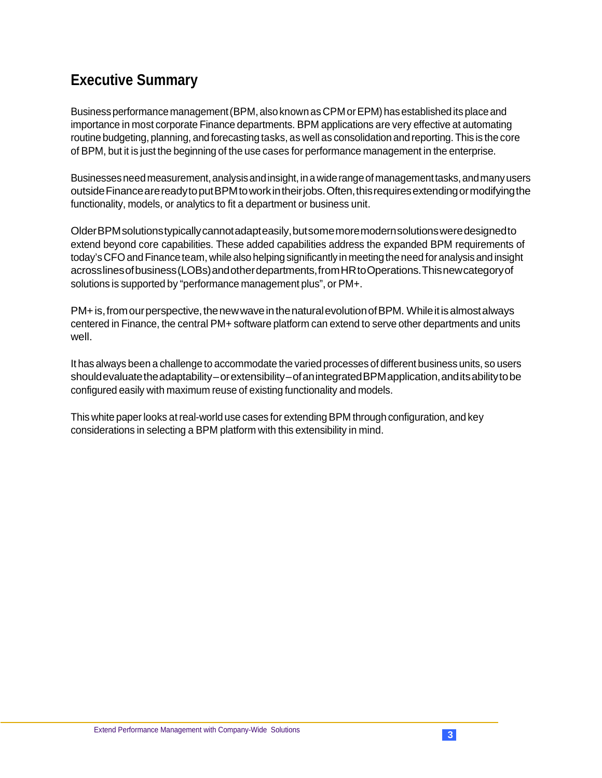## <span id="page-2-0"></span>**Executive Summary**

Business performance management (BPM, also known as CPM or EPM) has established its place and importance in most corporate Finance departments. BPM applications are very effective at automating routine budgeting, planning, andforecasting tasks, as well as consolidation and reporting.This is the core of BPM, but it is just the beginning of the use cases for performance management in the enterprise.

Businesses need measurement, analysis and insight, in a wide range of management tasks, and many users outsideFinancearereadytoputBPMtoworkintheirjobs.Often,thisrequiresextendingormodifyingthe functionality, models, or analytics to fit a department or business unit.

OlderBPMsolutionstypicallycannotadapteasily,butsomemoremodernsolutionsweredesignedto extend beyond core capabilities. These added capabilities address the expanded BPM requirements of today's CFO and Finance team, while also helping significantly in meeting the need for analysis and insight acrosslinesofbusiness(LOBs)andotherdepartments,fromHRtoOperations.Thisnewcategoryof solutions is supported by "performance management plus", or PM+.

PM+ is, from our perspective, the new wave in the natural evolution of BPM. While it is almost always centered in Finance, the central PM+ software platform can extend to serve other departments and units well.

It has always been a challenge to accommodate the varied processes of different business units, so users shouldevaluate the adaptability–or extensibility–of an integrated BPM application, and its ability to be configured easily with maximum reuse of existing functionality and models.

This white paper looks at real-world use cases for extending BPM through configuration, and key considerations in selecting a BPM platform with this extensibility in mind.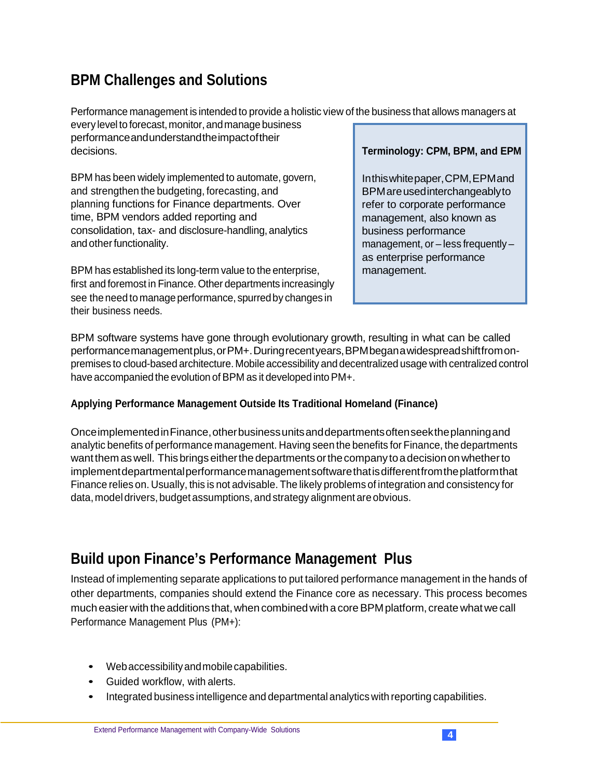### <span id="page-3-0"></span>**BPM Challenges and Solutions**

Performance management is intended to provide a holistic view of the business that allows managers at

every levelto forecast, monitor, andmanage business performanceandunderstandtheimpactoftheir decisions.

BPM has been widely implemented to automate, govern, and strengthen the budgeting, forecasting, and planning functions for Finance departments. Over time, BPM vendors added reporting and consolidation, tax- and disclosure-handling, analytics and other functionality.

BPM has established its long-term value to the enterprise, first and foremost in Finance. Other departments increasingly see the need to manage performance, spurred by changes in their business needs.

#### **Terminology: CPM, BPM, and EPM**

Inthiswhitepaper,CPM,EPMand BPMareusedinterchangeablyto refer to corporate performance management, also known as business performance management, or – less frequently – as enterprise performance management.

BPM software systems have gone through evolutionary growth, resulting in what can be called performancemanagementplus,orPM+.Duringrecentyears,BPMbeganawidespreadshiftfromonpremises to cloud-based architecture. Mobile accessibility and decentralized usage with centralized control have accompanied the evolution of BPM as it developed into PM+.

#### **Applying Performance Management Outside Its Traditional Homeland (Finance)**

OnceimplementedinFinance,otherbusinessunitsanddepartmentsoftenseektheplanningand analytic benefits of performance management. Having seen the benefits for Finance, the departments want them as well. This brings either the departments or the company to a decision on whether to implementdepartmentalperformancemanagementsoftwarethatisdifferentfromtheplatformthat Finance relies on. Usually, this is not advisable. The likely problems of integration and consistency for data, model drivers, budget assumptions, and strategy alignment are obvious.

## <span id="page-3-1"></span>**Build upon Finance's Performance Management Plus**

Instead of implementing separate applications to put tailored performance management in the hands of other departments, companies should extend the Finance core as necessary. This process becomes much easier with the additions that, when combined with a core BPM platform, create what we call Performance Management Plus (PM+):

- Webaccessibilityandmobilecapabilities.
- Guided workflow, with alerts.
- Integrated business intelligence and departmental analytics with reporting capabilities.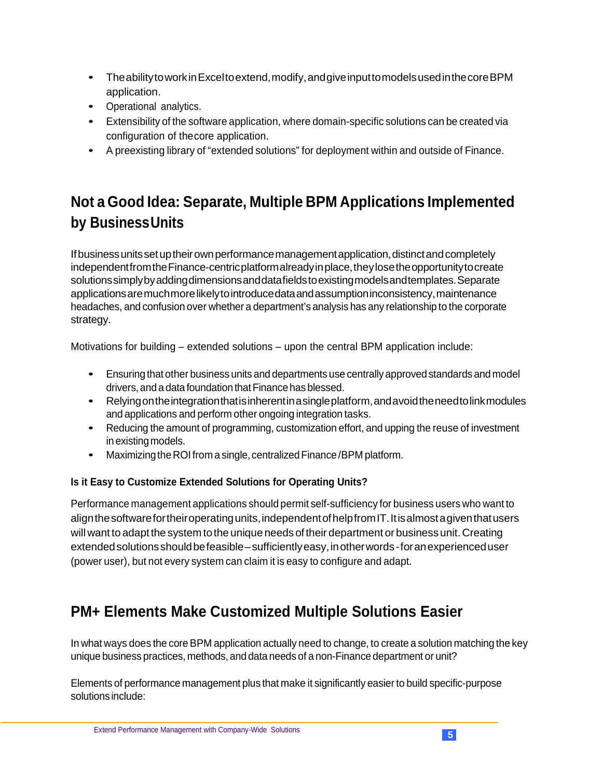- TheabilitytoworkinExceltoextend,modify,andgiveinputtomodelsusedinthecoreBPM application.
- Operational analytics.
- Extensibility of the software application, where domain-specific solutions can be created via configuration of thecore application.
- A preexisting library of "extended solutions" for deployment within and outside of Finance.

## <span id="page-4-0"></span>**Not a Good Idea: Separate, Multiple BPM Applications Implemented by BusinessUnits**

If business units set up their own performance management application, distinct and completely independentfromtheFinance-centricplatformalreadyinplace,theylosetheopportunitytocreate solutionssimplybyaddingdimensionsanddatafieldstoexistingmodelsandtemplates.Separate applicationsaremuchmorelikelytointroducedataandassumptioninconsistency,maintenance headaches, and confusion over whether a department's analysis has any relationship to the corporate strategy.

Motivations for building – extended solutions – upon the central BPM application include:

- Ensuring that other business units and departments use centrally approvedstandards and model drivers, and a data foundation that Finance has blessed.
- Relyingontheintegrationthatisinherentinasingleplatform,andavoidtheneedtolinkmodules and applications and perform other ongoing integration tasks.
- Reducing the amount of programming, customization effort, and upping the reuse of investment in existing models.
- Maximizing the ROI from a single, centralized Finance/BPM platform.

#### **Is it Easy to Customize Extended Solutions for Operating Units?**

Performance management applications should permit self-sufficiency for business users who want to alignthesoftwarefortheiroperatingunits,independentofhelpfromIT.Itisalmostagiventhatusers will want to adapt the system to the unique needs of their department or business unit. Creating extendedsolutionsshouldbefeasible–sufficientlyeasy,inotherwords-foranexperienceduser (power user), but not every system can claim it is easy to configure and adapt.

## <span id="page-4-1"></span>**PM+ Elements Make Customized Multiple Solutions Easier**

In what ways does the core BPM application actually need to change, to create a solution matching the key unique business practices, methods, and data needs of a non-Finance department or unit?

Elements of performance management plus that make it significantly easierto build specific-purpose solutions include: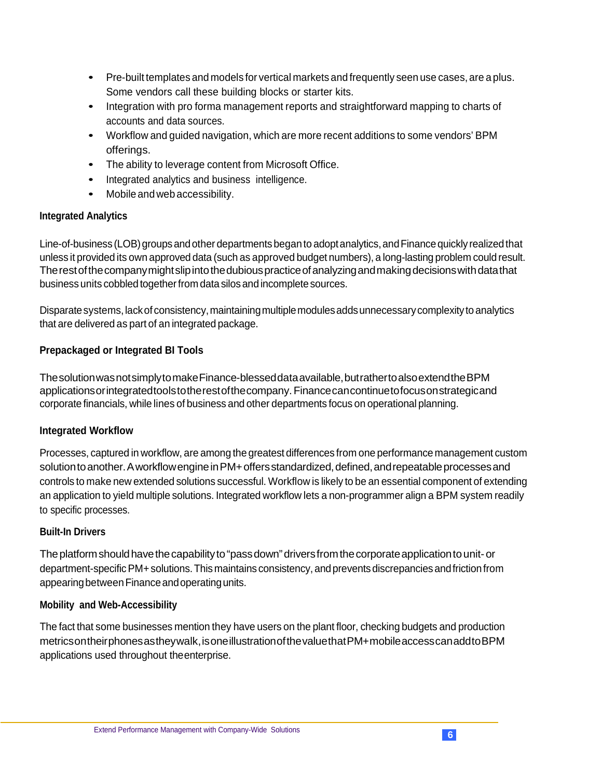- Pre-built templates and models for vertical markets and frequently seen use cases, are a plus. Some vendors call these building blocks or starter kits.
- Integration with pro forma management reports and straightforward mapping to charts of accounts and data sources.
- Workflow and guided navigation, which are more recent additions to some vendors' BPM offerings.
- The ability to leverage content from Microsoft Office.
- Integrated analytics and business intelligence.
- Mobile and web accessibility.

#### **Integrated Analytics**

Line-of-business (LOB) groups and other departments began to adopt analytics, and Finance quickly realized that unless it provided its own approved data (such as approved budget numbers), a long-lasting problem could result. The rest of the company might slip into the dubious practice of analyzing and making decisions with data that business units cobbled together from data silos and incomplete sources.

Disparate systems, lack of consistency, maintaining multiple modules adds unnecessary complexity to analytics that are delivered as part of an integrated package.

#### **Prepackaged or Integrated BI Tools**

ThesolutionwasnotsimplytomakeFinance-blesseddataavailable,butrathertoalsoextendtheBPM applicationsorintegratedtoolstotherestofthecompany.Financecancontinuetofocusonstrategicand corporate financials, while lines of business and other departments focus on operational planning.

#### **Integrated Workflow**

Processes, captured in workflow, are among the greatest differences from one performance management custom solution to another. A workflow engine in PM+ offers standardized, defined, and repeatable processes and controls to make new extended solutions successful. Workflow is likely to be an essential component of extending an application to yield multiple solutions. Integrated workflow lets a non-programmer align a BPM system readily to specific processes.

#### **Built-In Drivers**

The platform should have the capability to "pass down" drivers from the corporate application to unit- or department-specific PM+ solutions. This maintains consistency, and prevents discrepancies and friction from appearing between Finance and operating units.

#### **Mobility and Web-Accessibility**

<span id="page-5-0"></span>The fact that some businesses mention they have users on the plant floor, checking budgets and production metricsontheirphonesastheywalk,isoneillustrationofthevaluethatPM+mobileaccesscanaddtoBPM applications used throughout theenterprise.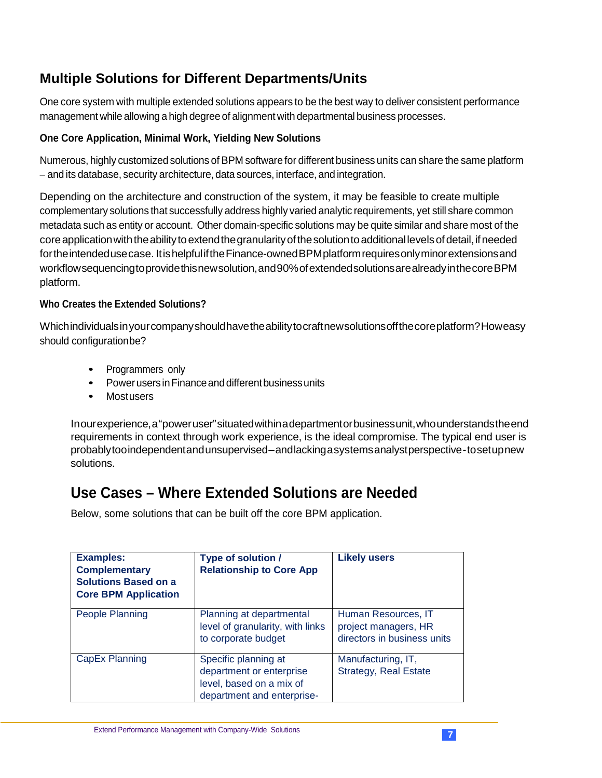### **Multiple Solutions for Different Departments/Units**

One core system with multiple extended solutions appears to be the best way to deliver consistent performance management while allowing a high degree of alignment with departmental business processes.

#### **One Core Application, Minimal Work, Yielding New Solutions**

Numerous, highly customized solutions of BPM software for different business units can share the same platform – and its database, security architecture, data sources, interface, and integration.

Depending on the architecture and construction of the system, it may be feasible to create multiple complementary solutions that successfully address highly varied analytic requirements, yet still share common metadata such as entity or account. Other domain-specific solutions may be quite similar and share most of the core application with the ability to extend the granularity of the solution to additional levels of detail, if needed fortheintendedusecase. ItishelpfuliftheFinance-ownedBPMplatformrequiresonlyminorextensionsand workflowsequencingtoprovidethisnewsolution,and90%ofextendedsolutionsarealreadyinthecoreBPM platform.

#### **Who Creates the Extended Solutions?**

Whichindividualsinyourcompanyshouldhavetheabilitytocraftnewsolutionsoffthecoreplatform?Howeasy should configurationbe?

- Programmers only
- Power users in Finance and different business units
- Mostusers

Inourexperience,a"poweruser"situatedwithinadepartmentorbusinessunit,whounderstandstheend requirements in context through work experience, is the ideal compromise. The typical end user is probablytooindependentandunsupervised–andlackingasystemsanalystperspective-tosetupnew solutions.

### <span id="page-6-0"></span>**Use Cases – Where Extended Solutions are Needed**

Below, some solutions that can be built off the core BPM application.

| <b>Examples:</b><br><b>Complementary</b><br><b>Solutions Based on a</b><br><b>Core BPM Application</b> | Type of solution /<br><b>Relationship to Core App</b>                                                      | <b>Likely users</b>                                                        |
|--------------------------------------------------------------------------------------------------------|------------------------------------------------------------------------------------------------------------|----------------------------------------------------------------------------|
| People Planning                                                                                        | Planning at departmental<br>level of granularity, with links<br>to corporate budget                        | Human Resources, IT<br>project managers, HR<br>directors in business units |
| CapEx Planning                                                                                         | Specific planning at<br>department or enterprise<br>level, based on a mix of<br>department and enterprise- | Manufacturing, IT,<br><b>Strategy, Real Estate</b>                         |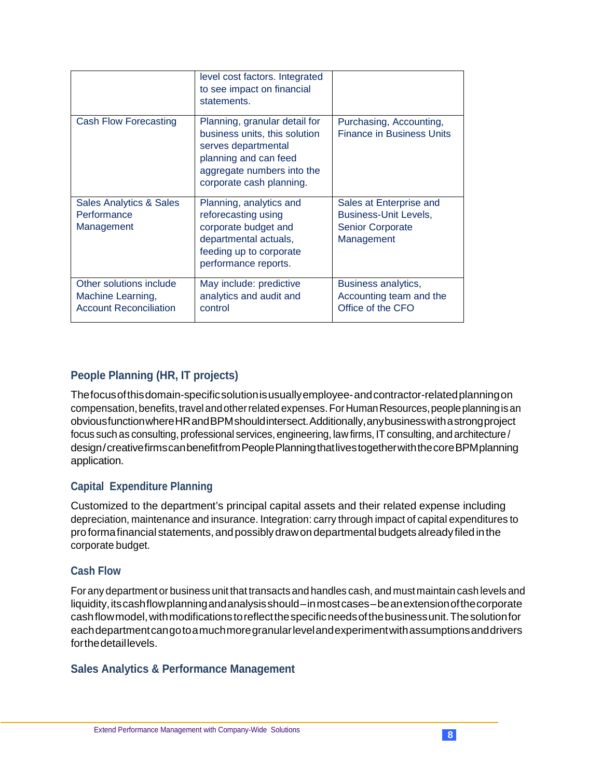|                                                                               | level cost factors. Integrated<br>to see impact on financial<br>statements.                                                                                              |                                                                                           |
|-------------------------------------------------------------------------------|--------------------------------------------------------------------------------------------------------------------------------------------------------------------------|-------------------------------------------------------------------------------------------|
| Cash Flow Forecasting                                                         | Planning, granular detail for<br>business units, this solution<br>serves departmental<br>planning and can feed<br>aggregate numbers into the<br>corporate cash planning. | Purchasing, Accounting,<br><b>Finance in Business Units</b>                               |
| Sales Analytics & Sales<br>Performance<br>Management                          | Planning, analytics and<br>reforecasting using<br>corporate budget and<br>departmental actuals,<br>feeding up to corporate<br>performance reports.                       | Sales at Enterprise and<br>Business-Unit Levels,<br><b>Senior Corporate</b><br>Management |
| Other solutions include<br>Machine Learning,<br><b>Account Reconciliation</b> | May include: predictive<br>analytics and audit and<br>control                                                                                                            | Business analytics,<br>Accounting team and the<br>Office of the CFO                       |

#### <span id="page-7-0"></span>**People Planning (HR, IT projects)**

Thefocusofthisdomain-specificsolutionisusuallyemployee-andcontractor-relatedplanningon compensation, benefits, travel and other related expenses. For Human Resources, people planning is an obviousfunctionwhereHRandBPMshouldintersect.Additionally,anybusinesswithastrongproject focus such as consulting, professional services, engineering, law firms, IT consulting, and architecture / design/creativefirmscanbenefitfrom People Planning that lives together with the core BPM planning application.

#### <span id="page-7-1"></span>**Capital Expenditure Planning**

Customized to the department's principal capital assets and their related expense including depreciation, maintenance and insurance. Integration: carry through impact of capital expenditures to pro forma financial statements, and possibly draw on departmental budgets already filed in the corporate budget.

#### <span id="page-7-2"></span>**Cash Flow**

For any department or business unit that transacts and handles cash, and must maintain cash levels and liquidity,itscashflowplanningandanalysisshould–inmostcases–beanextensionofthecorporate cashflowmodel,withmodificationstoreflectthespecificneedsofthebusinessunit.Thesolutionfor eachdepartmentcangotoamuchmoregranularlevelandexperimentwithassumptionsanddrivers forthedetaillevels.

#### <span id="page-7-3"></span>**Sales Analytics & Performance Management**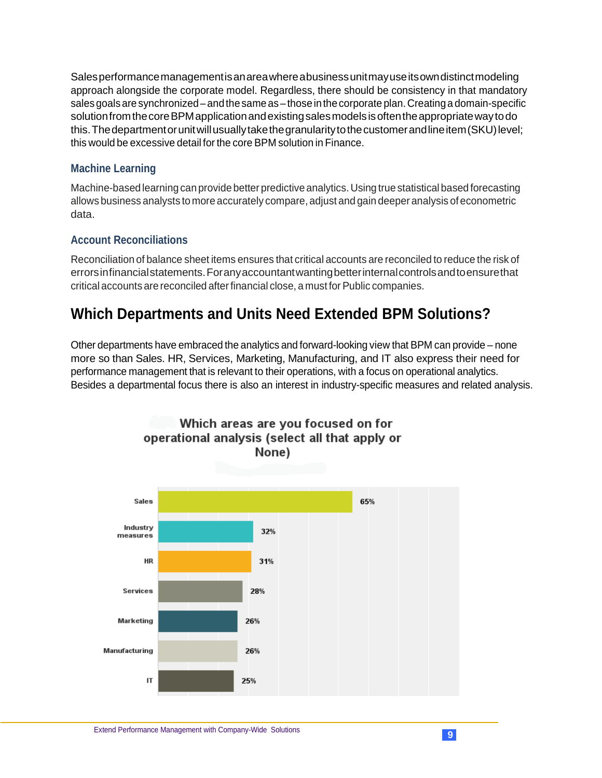Salesperformancemanagementisanareawhereabusinessunitmayuseitsowndistinctmodeling approach alongside the corporate model. Regardless, there should be consistency in that mandatory sales goals are synchronized – and the same as – those in the corporate plan. Creating a domain-specific solution from the core BPM application and existing sales models is often the appropriate way to do this. The department or unit will usually take the granularity to the customer and line item (SKU) level; this would be excessive detail forthe core BPM solution in Finance.

#### <span id="page-8-0"></span>**Machine Learning**

Machine-based learning can provide better predictive analytics. Using true statistical based forecasting allows business analysts to more accurately compare, adjust and gain deeper analysis of econometric data.

#### <span id="page-8-1"></span>**Account Reconciliations**

Reconciliation of balance sheet items ensures that critical accounts are reconciled to reduce the risk of errorsinfinancialstatements.Foranyaccountantwantingbetterinternalcontrolsandtoensurethat critical accounts are reconciled after financial close, a must for Public companies.

### <span id="page-8-2"></span>**Which Departments and Units Need Extended BPM Solutions?**

Other departments have embraced the analytics and forward-looking view that BPM can provide – none more so than Sales. HR, Services, Marketing, Manufacturing, and IT also express their need for performance management that is relevant to their operations, with a focus on operational analytics. Besides a departmental focus there is also an interest in industry-specific measures and related analysis.

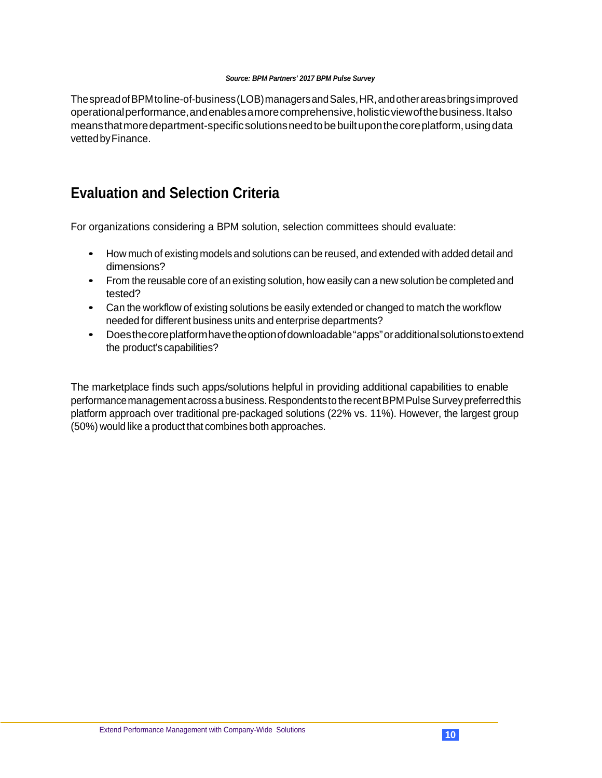#### *Source: BPM Partners' 2017 BPM Pulse Survey*

ThespreadofBPMtoline-of-business(LOB)managersandSales,HR,andotherareasbringsimproved operationalperformance,andenablesamorecomprehensive,holisticviewofthebusiness.Italso meansthatmoredepartment-specificsolutionsneedtobebuiltuponthecoreplatform,usingdata vettedbyFinance.

### <span id="page-9-0"></span>**Evaluation and Selection Criteria**

For organizations considering a BPM solution, selection committees should evaluate:

- How much of existing models and solutions can be reused, and extended with added detail and dimensions?
- From the reusable core of an existing solution, how easily can a new solution be completed and tested?
- Can the workflow of existing solutions be easily extended or changed to match the workflow needed for different business units and enterprise departments?
- Doesthecoreplatformhavetheoptionofdownloadable"apps"oradditionalsolutionstoextend the product's capabilities?

The marketplace finds such apps/solutions helpful in providing additional capabilities to enable performance management across a business. Respondents to the recent BPM Pulse Survey preferred this platform approach over traditional pre-packaged solutions (22% vs. 11%). However, the largest group (50%) would like a product that combines both approaches.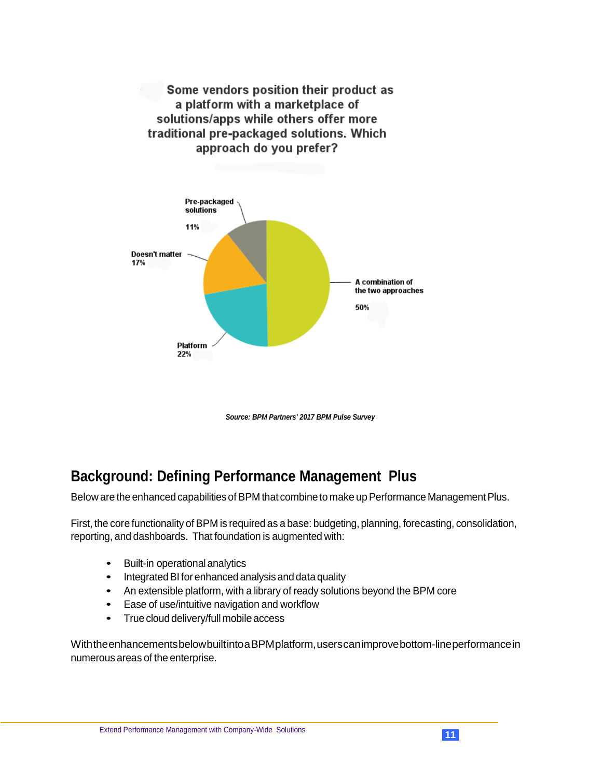Some vendors position their product as a platform with a marketplace of solutions/apps while others offer more traditional pre-packaged solutions. Which approach do you prefer?



*Source: BPM Partners' 2017 BPM Pulse Survey*

### <span id="page-10-0"></span>**Background: Defining Performance Management Plus**

Below are the enhanced capabilities of BPM that combine to make up Performance Management Plus.

First, the core functionality of BPM is required as a base: budgeting, planning, forecasting, consolidation, reporting, and dashboards. That foundation is augmented with:

- **Built-in operational analytics**
- Integrated BI for enhanced analysis and data quality
- An extensible platform, with a library of ready solutions beyond the BPM core
- Ease of use/intuitive navigation and workflow
- True cloud delivery/full mobile access

WiththeenhancementsbelowbuiltintoaBPMplatform,userscanimprovebottom-lineperformancein numerous areas of the enterprise.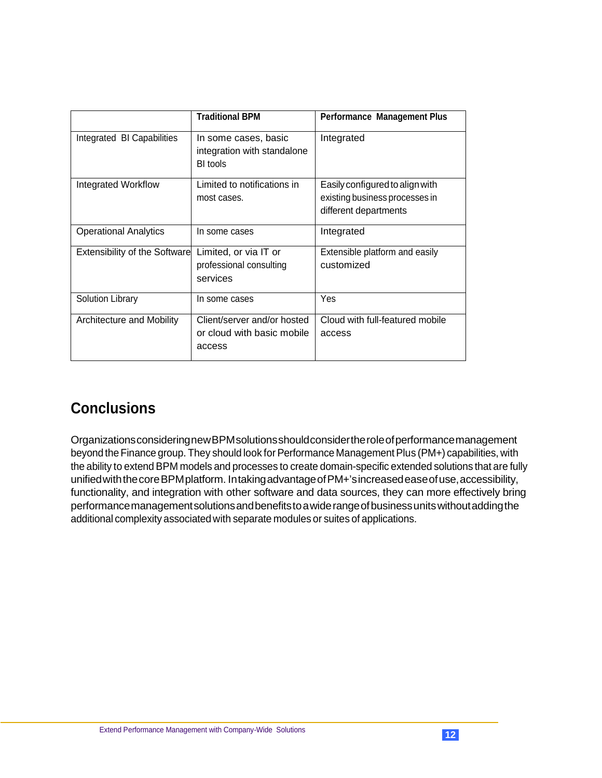|                                      | <b>Traditional BPM</b>                                              | <b>Performance Management Plus</b>                                                         |
|--------------------------------------|---------------------------------------------------------------------|--------------------------------------------------------------------------------------------|
| Integrated BI Capabilities           | In some cases, basic<br>integration with standalone<br>BI tools     | Integrated                                                                                 |
| Integrated Workflow                  | Limited to notifications in<br>most cases.                          | Easily configured to align with<br>existing business processes in<br>different departments |
| <b>Operational Analytics</b>         | In some cases                                                       | Integrated                                                                                 |
| <b>Extensibility of the Software</b> | Limited, or via IT or<br>professional consulting<br>services        | Extensible platform and easily<br>customized                                               |
| Solution Library                     | In some cases                                                       | Yes                                                                                        |
| Architecture and Mobility            | Client/server and/or hosted<br>or cloud with basic mobile<br>access | Cloud with full-featured mobile<br>access                                                  |

## <span id="page-11-0"></span>**Conclusions**

OrganizationsconsideringnewBPMsolutionsshouldconsidertheroleofperformancemanagement beyond the Finance group. They should look for Performance Management Plus (PM+) capabilities, with the ability to extend BPM models and processes to create domain-specific extended solutions that are fully unifiedwiththecoreBPMplatform. IntakingadvantageofPM+'sincreasedeaseofuse,accessibility, functionality, and integration with other software and data sources, they can more effectively bring performancemanagementsolutionsandbenefitstoawiderangeofbusinessunitswithoutaddingthe additional complexity associated with separate modules or suites of applications.